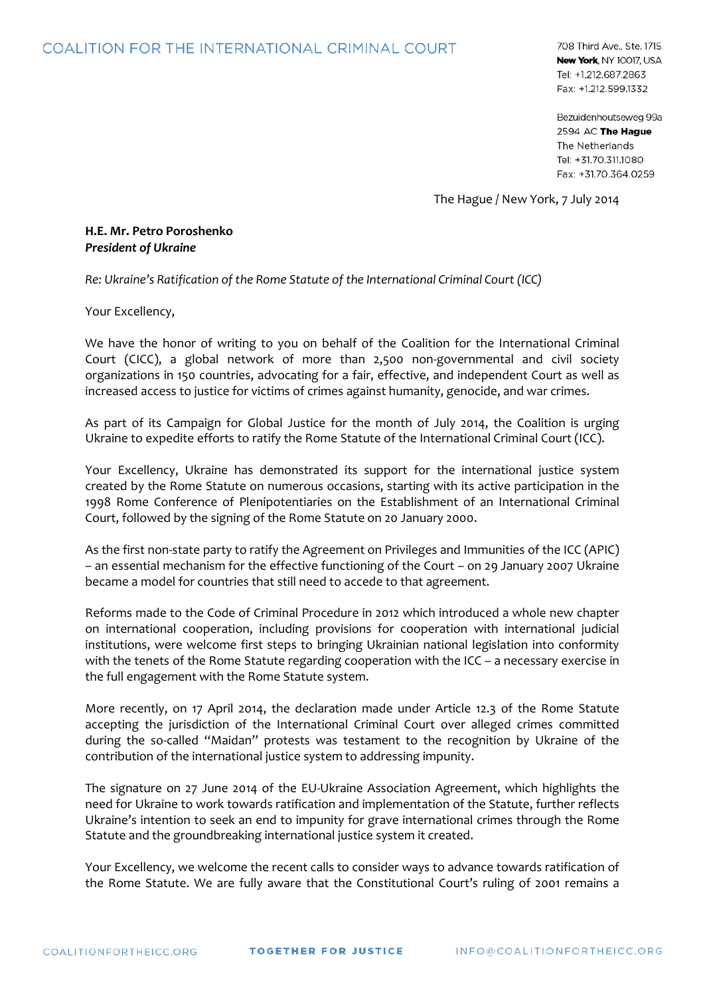## **COALITION FOR THE INTERNATIONAL CRIMINAL COURT**

708 Third Ave., Ste. 1715 New York, NY 10017, USA Tel: +1.212.687.2863 Fax: +1.212.599.1332

Bezuidenhoutseweg 99a 2594 AC The Hague The Netherlands Tel: +31.70.311.1080 Fax: +31.70.364.0259

The Hague / New York, 7 July 2014

**H.E. Mr. Petro Poroshenko** *President of Ukraine*

*Re: Ukraine's Ratification of the Rome Statute of the International Criminal Court (ICC)*

Your Excellency,

We have the honor of writing to you on behalf of the Coalition for the International Criminal Court (CICC), a global network of more than 2,500 non-governmental and civil society organizations in 150 countries, advocating for a fair, effective, and independent Court as well as increased access to justice for victims of crimes against humanity, genocide, and war crimes.

As part of its Campaign for Global Justice for the month of July 2014, the Coalition is urging Ukraine to expedite efforts to ratify the Rome Statute of the International Criminal Court (ICC).

Your Excellency, Ukraine has demonstrated its support for the international justice system created by the Rome Statute on numerous occasions, starting with its active participation in the 1998 Rome Conference of Plenipotentiaries on the Establishment of an International Criminal Court, followed by the signing of the Rome Statute on 20 January 2000.

As the first non-state party to ratify the Agreement on Privileges and Immunities of the ICC (APIC) – an essential mechanism for the effective functioning of the Court – on 29 January 2007 Ukraine became a model for countries that still need to accede to that agreement.

Reforms made to the Code of Criminal Procedure in 2012 which introduced a whole new chapter on international cooperation, including provisions for cooperation with international judicial institutions, were welcome first steps to bringing Ukrainian national legislation into conformity with the tenets of the Rome Statute regarding cooperation with the ICC – a necessary exercise in the full engagement with the Rome Statute system.

More recently, on 17 April 2014, the declaration made under Article 12.3 of the Rome Statute accepting the jurisdiction of the International Criminal Court over alleged crimes committed during the so-called "Maidan" protests was testament to the recognition by Ukraine of the contribution of the international justice system to addressing impunity.

The signature on 27 June 2014 of the EU-Ukraine Association Agreement, which highlights the need for Ukraine to work towards ratification and implementation of the Statute, further reflects Ukraine's intention to seek an end to impunity for grave international crimes through the Rome Statute and the groundbreaking international justice system it created.

Your Excellency, we welcome the recent calls to consider ways to advance towards ratification of the Rome Statute. We are fully aware that the Constitutional Court's ruling of 2001 remains a